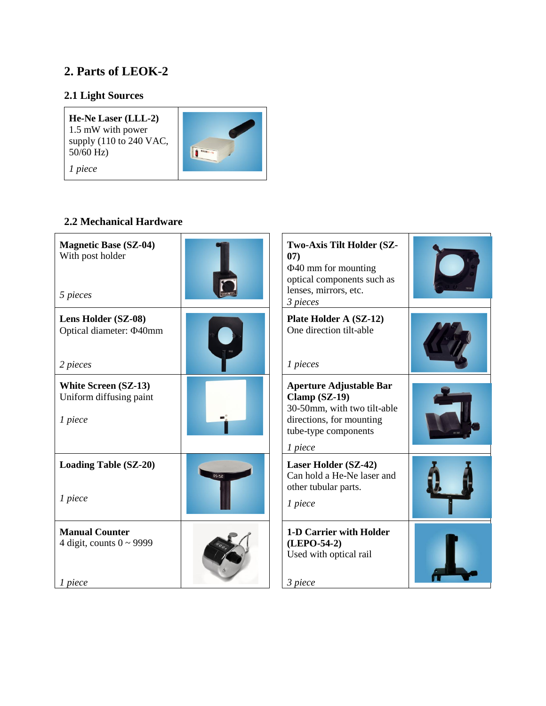# **2. Parts of LEOK-2**

## **2.1 Light Sources**

**He-Ne Laser (LLL-2)** 1.5 mW with power supply (110 to 240 VAC, 50/60 Hz) *1 piece*



## **2.2 Mechanical Hardware**

| <b>Magnetic Base (SZ-04)</b><br>With post holder<br>5 pieces      |       | Two-Axis Tilt Holder (SZ-<br>07)<br>$\Phi$ 40 mm for mounting<br>optical components such as<br>lenses, mirrors, etc.<br>3 pieces              |  |
|-------------------------------------------------------------------|-------|-----------------------------------------------------------------------------------------------------------------------------------------------|--|
| Lens Holder (SZ-08)<br>Optical diameter: $\Phi$ 40mm<br>2 pieces  |       | Plate Holder A (SZ-12)<br>One direction tilt-able<br>1 pieces                                                                                 |  |
| <b>White Screen (SZ-13)</b><br>Uniform diffusing paint<br>1 piece |       | <b>Aperture Adjustable Bar</b><br>Clamp (SZ-19)<br>30-50mm, with two tilt-able<br>directions, for mounting<br>tube-type components<br>1 piece |  |
| <b>Loading Table (SZ-20)</b><br>1 piece                           | SZ-20 | Laser Holder (SZ-42)<br>Can hold a He-Ne laser and<br>other tubular parts.<br>1 piece                                                         |  |
| <b>Manual Counter</b><br>4 digit, counts $0 \sim 9999$<br>1 piece |       | 1-D Carrier with Holder<br>(LEPO-54-2)<br>Used with optical rail<br>3 piece                                                                   |  |